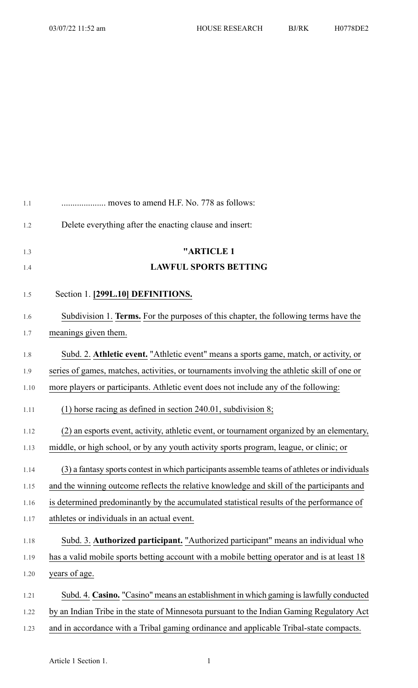| 1.1     | moves to amend H.F. No. 778 as follows:                                                      |
|---------|----------------------------------------------------------------------------------------------|
| 1.2     | Delete everything after the enacting clause and insert:                                      |
| 1.3     | "ARTICLE 1                                                                                   |
| 1.4     | <b>LAWFUL SPORTS BETTING</b>                                                                 |
| 1.5     | Section 1. [299L.10] DEFINITIONS.                                                            |
| 1.6     | Subdivision 1. Terms. For the purposes of this chapter, the following terms have the         |
| 1.7     | meanings given them.                                                                         |
| $1.8\,$ | Subd. 2. Athletic event. "Athletic event" means a sports game, match, or activity, or        |
| 1.9     | series of games, matches, activities, or tournaments involving the athletic skill of one or  |
| 1.10    | more players or participants. Athletic event does not include any of the following:          |
| 1.11    | (1) horse racing as defined in section $240.01$ , subdivision 8;                             |
| 1.12    | (2) an esports event, activity, athletic event, or tournament organized by an elementary,    |
| 1.13    | middle, or high school, or by any youth activity sports program, league, or clinic; or       |
| 1.14    | (3) a fantasy sports contest in which participants assemble teams of athletes or individuals |
| 1.15    | and the winning outcome reflects the relative knowledge and skill of the participants and    |
| 1.16    | is determined predominantly by the accumulated statistical results of the performance of     |
| 1.17    | athletes or individuals in an actual event.                                                  |
| 1.18    | Subd. 3. Authorized participant. "Authorized participant" means an individual who            |
| 1.19    | has a valid mobile sports betting account with a mobile betting operator and is at least 18  |
| 1.20    | years of age.                                                                                |
| 1.21    | Subd. 4. Casino. "Casino" means an establishment in which gaming is lawfully conducted       |
| 1.22    | by an Indian Tribe in the state of Minnesota pursuant to the Indian Gaming Regulatory Act    |
|         |                                                                                              |

1.23 and in accordance with a Tribal gaming ordinance and applicable Tribal-state compacts.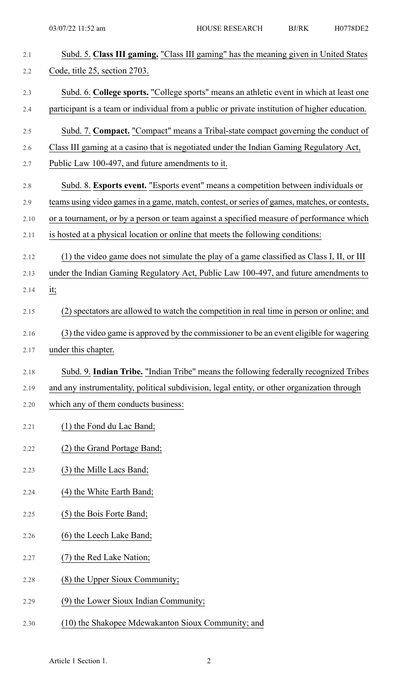| 2.1  | Subd. 5. Class III gaming. "Class III gaming" has the meaning given in United States          |
|------|-----------------------------------------------------------------------------------------------|
| 2.2  | Code, title 25, section 2703.                                                                 |
| 2.3  | Subd. 6. College sports. "College sports" means an athletic event in which at least one       |
| 2.4  | participant is a team or individual from a public or private institution of higher education. |
| 2.5  | Subd. 7. Compact. "Compact" means a Tribal-state compact governing the conduct of             |
| 2.6  | Class III gaming at a casino that is negotiated under the Indian Gaming Regulatory Act,       |
| 2.7  | Public Law 100-497, and future amendments to it.                                              |
| 2.8  | Subd. 8. Esports event. "Esports event" means a competition between individuals or            |
| 2.9  | teams using video games in a game, match, contest, or series of games, matches, or contests,  |
| 2.10 | or a tournament, or by a person or team against a specified measure of performance which      |
| 2.11 | is hosted at a physical location or online that meets the following conditions:               |
| 2.12 | (1) the video game does not simulate the play of a game classified as Class I, II, or III     |
| 2.13 | under the Indian Gaming Regulatory Act, Public Law 100-497, and future amendments to          |
| 2.14 | <u>it;</u>                                                                                    |
| 2.15 | (2) spectators are allowed to watch the competition in real time in person or online; and     |
| 2.16 | (3) the video game is approved by the commissioner to be an event eligible for wagering       |
| 2.17 | under this chapter.                                                                           |
| 2.18 | Subd. 9. <b>Indian Tribe.</b> "Indian Tribe" means the following federally recognized Tribes  |
| 2.19 | and any instrumentality, political subdivision, legal entity, or other organization through   |
| 2.20 | which any of them conducts business:                                                          |
| 2.21 | (1) the Fond du Lac Band;                                                                     |
| 2.22 | (2) the Grand Portage Band;                                                                   |
| 2.23 | (3) the Mille Lacs Band;                                                                      |
| 2.24 | (4) the White Earth Band;                                                                     |
| 2.25 | (5) the Bois Forte Band;                                                                      |
| 2.26 | (6) the Leech Lake Band;                                                                      |
| 2.27 | (7) the Red Lake Nation;                                                                      |
| 2.28 | (8) the Upper Sioux Community;                                                                |
| 2.29 | (9) the Lower Sioux Indian Community;                                                         |
| 2.30 | (10) the Shakopee Mdewakanton Sioux Community; and                                            |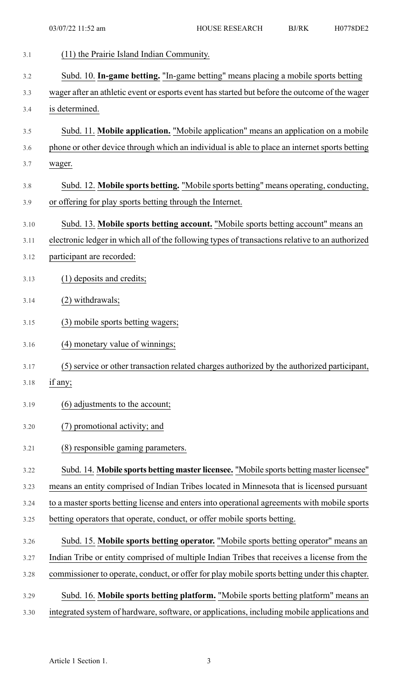| 3.1  | (11) the Prairie Island Indian Community.                                                       |
|------|-------------------------------------------------------------------------------------------------|
| 3.2  | Subd. 10. In-game betting. "In-game betting" means placing a mobile sports betting              |
| 3.3  | wager after an athletic event or esports event has started but before the outcome of the wager  |
| 3.4  | is determined.                                                                                  |
| 3.5  | Subd. 11. Mobile application. "Mobile application" means an application on a mobile             |
| 3.6  | phone or other device through which an individual is able to place an internet sports betting   |
| 3.7  | wager.                                                                                          |
| 3.8  | Subd. 12. Mobile sports betting. "Mobile sports betting" means operating, conducting,           |
| 3.9  | or offering for play sports betting through the Internet.                                       |
| 3.10 | Subd. 13. Mobile sports betting account. "Mobile sports betting account" means an               |
| 3.11 | electronic ledger in which all of the following types of transactions relative to an authorized |
| 3.12 | participant are recorded:                                                                       |
| 3.13 | (1) deposits and credits;                                                                       |
| 3.14 | (2) withdrawals;                                                                                |
| 3.15 | (3) mobile sports betting wagers;                                                               |
| 3.16 | (4) monetary value of winnings;                                                                 |
| 3.17 | (5) service or other transaction related charges authorized by the authorized participant,      |
| 3.18 | if any;                                                                                         |
| 3.19 | (6) adjustments to the account;                                                                 |
| 3.20 | (7) promotional activity; and                                                                   |
| 3.21 | (8) responsible gaming parameters.                                                              |
| 3.22 | Subd. 14. Mobile sports betting master licensee. "Mobile sports betting master licensee"        |
| 3.23 | means an entity comprised of Indian Tribes located in Minnesota that is licensed pursuant       |
| 3.24 | to a master sports betting license and enters into operational agreements with mobile sports    |
| 3.25 | betting operators that operate, conduct, or offer mobile sports betting.                        |
| 3.26 | Subd. 15. Mobile sports betting operator. "Mobile sports betting operator" means an             |
| 3.27 | Indian Tribe or entity comprised of multiple Indian Tribes that receives a license from the     |
| 3.28 | commissioner to operate, conduct, or offer for play mobile sports betting under this chapter.   |
| 3.29 | Subd. 16. Mobile sports betting platform. "Mobile sports betting platform" means an             |
| 3.30 | integrated system of hardware, software, or applications, including mobile applications and     |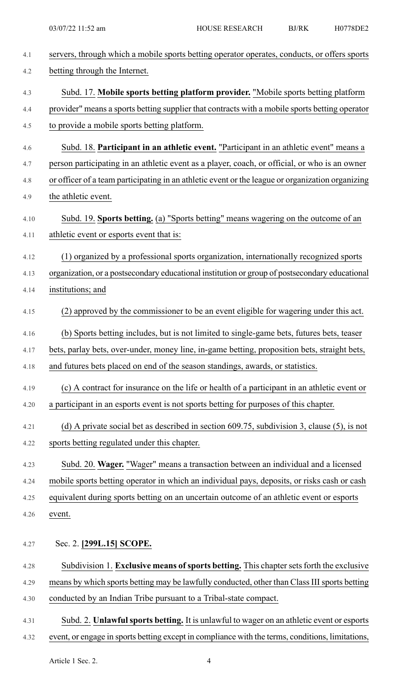| 4.1  | servers, through which a mobile sports betting operator operates, conducts, or offers sports     |
|------|--------------------------------------------------------------------------------------------------|
| 4.2  | betting through the Internet.                                                                    |
| 4.3  | Subd. 17. Mobile sports betting platform provider. "Mobile sports betting platform               |
| 4.4  | provider" means a sports betting supplier that contracts with a mobile sports betting operator   |
| 4.5  | to provide a mobile sports betting platform.                                                     |
| 4.6  | Subd. 18. Participant in an athletic event. "Participant in an athletic event" means a           |
| 4.7  | person participating in an athletic event as a player, coach, or official, or who is an owner    |
| 4.8  | or officer of a team participating in an athletic event or the league or organization organizing |
| 4.9  | the athletic event.                                                                              |
| 4.10 | Subd. 19. Sports betting. (a) "Sports betting" means wagering on the outcome of an               |
| 4.11 | athletic event or esports event that is:                                                         |
| 4.12 | (1) organized by a professional sports organization, internationally recognized sports           |
| 4.13 | organization, or a postsecondary educational institution or group of postsecondary educational   |
| 4.14 | institutions; and                                                                                |
| 4.15 | (2) approved by the commissioner to be an event eligible for wagering under this act.            |
| 4.16 | (b) Sports betting includes, but is not limited to single-game bets, futures bets, teaser        |
| 4.17 | bets, parlay bets, over-under, money line, in-game betting, proposition bets, straight bets,     |
| 4.18 | and futures bets placed on end of the season standings, awards, or statistics.                   |
| 4.19 | (c) A contract for insurance on the life or health of a participant in an athletic event or      |
| 4.20 | a participant in an esports event is not sports betting for purposes of this chapter.            |
| 4.21 | (d) A private social bet as described in section $609.75$ , subdivision 3, clause (5), is not    |
| 4.22 | sports betting regulated under this chapter.                                                     |
| 4.23 | Subd. 20. Wager. "Wager" means a transaction between an individual and a licensed                |
| 4.24 | mobile sports betting operator in which an individual pays, deposits, or risks cash or cash      |
| 4.25 | equivalent during sports betting on an uncertain outcome of an athletic event or esports         |
| 4.26 | event.                                                                                           |
| 4.27 | Sec. 2. [299L.15] SCOPE.                                                                         |
| 4.28 | Subdivision 1. Exclusive means of sports betting. This chapter sets forth the exclusive          |
| 4.29 | means by which sports betting may be lawfully conducted, other than Class III sports betting     |
| 4.30 | conducted by an Indian Tribe pursuant to a Tribal-state compact.                                 |
| 4.31 | Subd. 2. Unlawful sports betting. It is unlawful to wager on an athletic event or esports        |
| 4.32 | event, or engage in sports betting except in compliance with the terms, conditions, limitations, |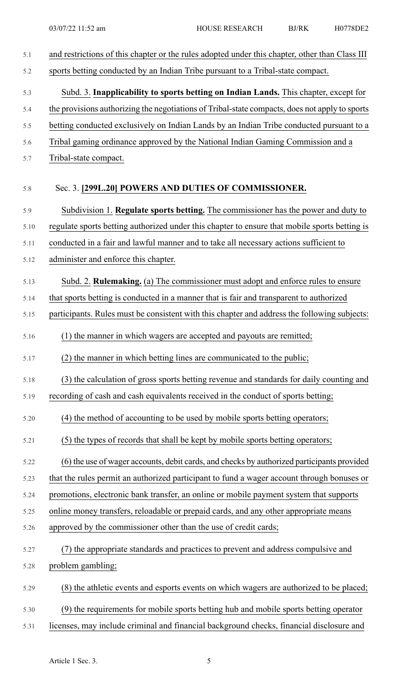| 5.1  | and restrictions of this chapter or the rules adopted under this chapter, other than Class III |
|------|------------------------------------------------------------------------------------------------|
| 5.2  | sports betting conducted by an Indian Tribe pursuant to a Tribal-state compact.                |
| 5.3  | Subd. 3. Inapplicability to sports betting on Indian Lands. This chapter, except for           |
| 5.4  | the provisions authorizing the negotiations of Tribal-state compacts, does not apply to sports |
| 5.5  | betting conducted exclusively on Indian Lands by an Indian Tribe conducted pursuant to a       |
| 5.6  | Tribal gaming ordinance approved by the National Indian Gaming Commission and a                |
| 5.7  | Tribal-state compact.                                                                          |
|      |                                                                                                |
| 5.8  | Sec. 3. [299L.20] POWERS AND DUTIES OF COMMISSIONER.                                           |
| 5.9  | Subdivision 1. Regulate sports betting. The commissioner has the power and duty to             |
| 5.10 | regulate sports betting authorized under this chapter to ensure that mobile sports betting is  |
| 5.11 | conducted in a fair and lawful manner and to take all necessary actions sufficient to          |
| 5.12 | administer and enforce this chapter.                                                           |
| 5.13 | Subd. 2. Rulemaking. (a) The commissioner must adopt and enforce rules to ensure               |
| 5.14 | that sports betting is conducted in a manner that is fair and transparent to authorized        |
| 5.15 | participants. Rules must be consistent with this chapter and address the following subjects:   |
| 5.16 | (1) the manner in which wagers are accepted and payouts are remitted;                          |
| 5.17 | (2) the manner in which betting lines are communicated to the public;                          |
| 5.18 | (3) the calculation of gross sports betting revenue and standards for daily counting and       |
| 5.19 | recording of cash and cash equivalents received in the conduct of sports betting;              |
| 5.20 | (4) the method of accounting to be used by mobile sports betting operators;                    |
| 5.21 | (5) the types of records that shall be kept by mobile sports betting operators;                |
| 5.22 | (6) the use of wager accounts, debit cards, and checks by authorized participants provided     |
| 5.23 | that the rules permit an authorized participant to fund a wager account through bonuses or     |
| 5.24 | promotions, electronic bank transfer, an online or mobile payment system that supports         |
| 5.25 | online money transfers, reloadable or prepaid cards, and any other appropriate means           |
| 5.26 | approved by the commissioner other than the use of credit cards;                               |
| 5.27 | (7) the appropriate standards and practices to prevent and address compulsive and              |
| 5.28 | problem gambling;                                                                              |
| 5.29 | (8) the athletic events and esports events on which wagers are authorized to be placed;        |
| 5.30 | (9) the requirements for mobile sports betting hub and mobile sports betting operator          |
| 5.31 | licenses, may include criminal and financial background checks, financial disclosure and       |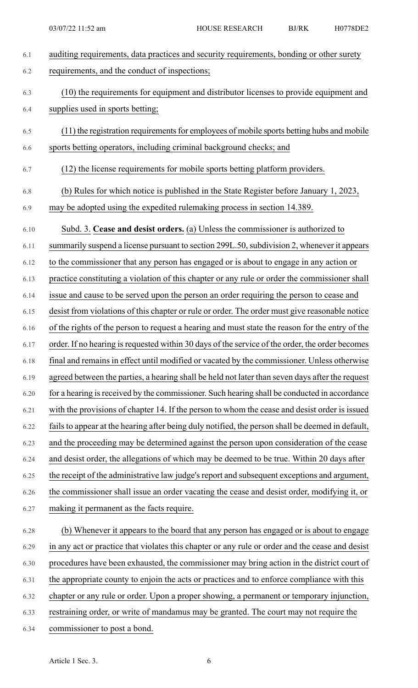| 6.1  | auditing requirements, data practices and security requirements, bonding or other surety         |
|------|--------------------------------------------------------------------------------------------------|
| 6.2  | requirements, and the conduct of inspections;                                                    |
| 6.3  | (10) the requirements for equipment and distributor licenses to provide equipment and            |
| 6.4  | supplies used in sports betting;                                                                 |
| 6.5  | (11) the registration requirements for employees of mobile sports betting hubs and mobile        |
| 6.6  | sports betting operators, including criminal background checks; and                              |
| 6.7  | (12) the license requirements for mobile sports betting platform providers.                      |
| 6.8  | (b) Rules for which notice is published in the State Register before January 1, 2023,            |
| 6.9  | may be adopted using the expedited rulemaking process in section 14.389.                         |
| 6.10 | Subd. 3. Cease and desist orders. (a) Unless the commissioner is authorized to                   |
| 6.11 | summarily suspend a license pursuant to section 299L.50, subdivision 2, whenever it appears      |
| 6.12 | to the commissioner that any person has engaged or is about to engage in any action or           |
| 6.13 | practice constituting a violation of this chapter or any rule or order the commissioner shall    |
| 6.14 | issue and cause to be served upon the person an order requiring the person to cease and          |
| 6.15 | desist from violations of this chapter or rule or order. The order must give reasonable notice   |
| 6.16 | of the rights of the person to request a hearing and must state the reason for the entry of the  |
| 6.17 | order. If no hearing is requested within 30 days of the service of the order, the order becomes  |
| 6.18 | final and remains in effect until modified or vacated by the commissioner. Unless otherwise      |
| 6.19 | agreed between the parties, a hearing shall be held not later than seven days after the request  |
| 6.20 | for a hearing is received by the commissioner. Such hearing shall be conducted in accordance     |
| 6.21 | with the provisions of chapter 14. If the person to whom the cease and desist order is issued    |
| 6.22 | fails to appear at the hearing after being duly notified, the person shall be deemed in default, |
| 6.23 | and the proceeding may be determined against the person upon consideration of the cease          |
| 6.24 | and desist order, the allegations of which may be deemed to be true. Within 20 days after        |
| 6.25 | the receipt of the administrative law judge's report and subsequent exceptions and argument,     |
| 6.26 | the commissioner shall issue an order vacating the cease and desist order, modifying it, or      |
| 6.27 | making it permanent as the facts require.                                                        |
| 6.28 | (b) Whenever it appears to the board that any person has engaged or is about to engage           |
| 6.29 | in any act or practice that violates this chapter or any rule or order and the cease and desist  |
| 6.30 | procedures have been exhausted, the commissioner may bring action in the district court of       |
| 6.31 | the appropriate county to enjoin the acts or practices and to enforce compliance with this       |
| 6.32 | chapter or any rule or order. Upon a proper showing, a permanent or temporary injunction,        |
| 6.33 | restraining order, or write of mandamus may be granted. The court may not require the            |
| 6.34 | commissioner to post a bond.                                                                     |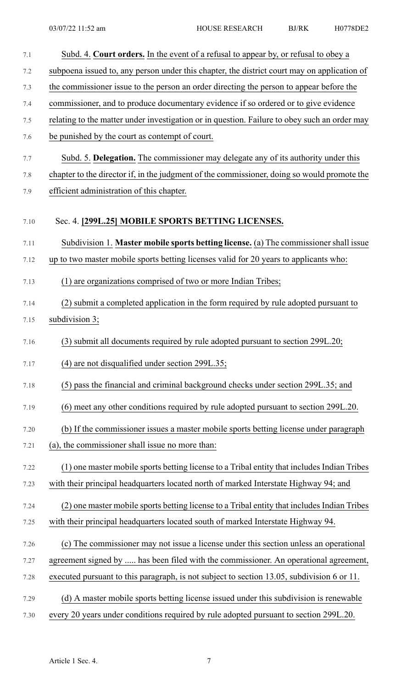| 7.1  | Subd. 4. Court orders. In the event of a refusal to appear by, or refusal to obey a          |
|------|----------------------------------------------------------------------------------------------|
| 7.2  | subpoena issued to, any person under this chapter, the district court may on application of  |
| 7.3  | the commissioner issue to the person an order directing the person to appear before the      |
| 7.4  | commissioner, and to produce documentary evidence if so ordered or to give evidence          |
| 7.5  | relating to the matter under investigation or in question. Failure to obey such an order may |
| 7.6  | be punished by the court as contempt of court.                                               |
| 7.7  | Subd. 5. Delegation. The commissioner may delegate any of its authority under this           |
| 7.8  | chapter to the director if, in the judgment of the commissioner, doing so would promote the  |
| 7.9  | efficient administration of this chapter.                                                    |
| 7.10 | Sec. 4. [299L.25] MOBILE SPORTS BETTING LICENSES.                                            |
| 7.11 | Subdivision 1. Master mobile sports betting license. (a) The commissioner shall issue        |
| 7.12 | up to two master mobile sports betting licenses valid for 20 years to applicants who:        |
| 7.13 | (1) are organizations comprised of two or more Indian Tribes;                                |
| 7.14 | (2) submit a completed application in the form required by rule adopted pursuant to          |
| 7.15 | subdivision 3;                                                                               |
| 7.16 | (3) submit all documents required by rule adopted pursuant to section 299L.20;               |
| 7.17 | (4) are not disqualified under section 299L.35;                                              |
| 7.18 | (5) pass the financial and criminal background checks under section 299L.35; and             |
| 7.19 | (6) meet any other conditions required by rule adopted pursuant to section 299L.20.          |
| 7.20 | (b) If the commissioner issues a master mobile sports betting license under paragraph        |
| 7.21 | (a), the commissioner shall issue no more than:                                              |
| 7.22 | (1) one master mobile sports betting license to a Tribal entity that includes Indian Tribes  |
| 7.23 | with their principal headquarters located north of marked Interstate Highway 94; and         |
| 7.24 | (2) one master mobile sports betting license to a Tribal entity that includes Indian Tribes  |
| 7.25 | with their principal headquarters located south of marked Interstate Highway 94.             |
| 7.26 | (c) The commissioner may not issue a license under this section unless an operational        |
| 7.27 | agreement signed by  has been filed with the commissioner. An operational agreement,         |
| 7.28 | executed pursuant to this paragraph, is not subject to section 13.05, subdivision 6 or 11.   |
| 7.29 | (d) A master mobile sports betting license issued under this subdivision is renewable        |
| 7.30 | every 20 years under conditions required by rule adopted pursuant to section 299L.20.        |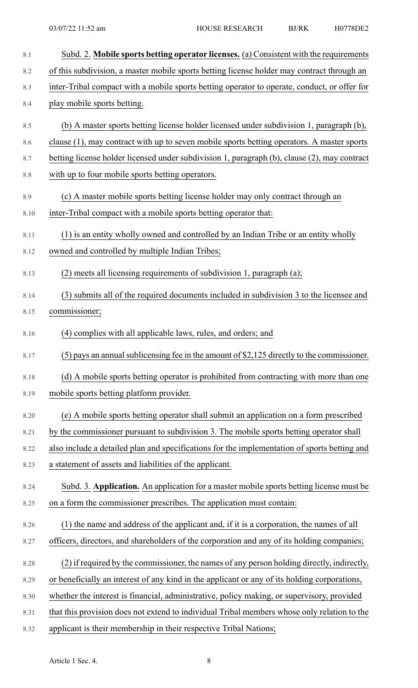| 8.1     | Subd. 2. Mobile sports betting operator licenses. (a) Consistent with the requirements       |
|---------|----------------------------------------------------------------------------------------------|
| 8.2     | of this subdivision, a master mobile sports betting license holder may contract through an   |
| 8.3     | inter-Tribal compact with a mobile sports betting operator to operate, conduct, or offer for |
| 8.4     | play mobile sports betting.                                                                  |
| 8.5     | (b) A master sports betting license holder licensed under subdivision 1, paragraph (b),      |
| 8.6     | clause (1), may contract with up to seven mobile sports betting operators. A master sports   |
| 8.7     | betting license holder licensed under subdivision 1, paragraph (b), clause (2), may contract |
| $8.8\,$ | with up to four mobile sports betting operators.                                             |
| 8.9     | (c) A master mobile sports betting license holder may only contract through an               |
| 8.10    | inter-Tribal compact with a mobile sports betting operator that:                             |
| 8.11    | (1) is an entity wholly owned and controlled by an Indian Tribe or an entity wholly          |
| 8.12    | owned and controlled by multiple Indian Tribes;                                              |
| 8.13    | (2) meets all licensing requirements of subdivision 1, paragraph (a);                        |
| 8.14    | (3) submits all of the required documents included in subdivision 3 to the licensee and      |
| 8.15    | commissioner;                                                                                |
| 8.16    | (4) complies with all applicable laws, rules, and orders; and                                |
| 8.17    | $(5)$ pays an annual sublicensing fee in the amount of \$2,125 directly to the commissioner. |
| 8.18    | (d) A mobile sports betting operator is prohibited from contracting with more than one       |
| 8.19    | mobile sports betting platform provider.                                                     |
| 8.20    | (e) A mobile sports betting operator shall submit an application on a form prescribed        |
| 8.21    | by the commissioner pursuant to subdivision 3. The mobile sports betting operator shall      |
| 8.22    | also include a detailed plan and specifications for the implementation of sports betting and |
| 8.23    | a statement of assets and liabilities of the applicant.                                      |
| 8.24    | Subd. 3. Application. An application for a master mobile sports betting license must be      |
| 8.25    | on a form the commissioner prescribes. The application must contain:                         |
| 8.26    | (1) the name and address of the applicant and, if it is a corporation, the names of all      |
| 8.27    | officers, directors, and shareholders of the corporation and any of its holding companies;   |
| 8.28    | (2) if required by the commissioner, the names of any person holding directly, indirectly,   |
| 8.29    | or beneficially an interest of any kind in the applicant or any of its holding corporations, |
| 8.30    | whether the interest is financial, administrative, policy making, or supervisory, provided   |
| 8.31    | that this provision does not extend to individual Tribal members whose only relation to the  |
| 8.32    | applicant is their membership in their respective Tribal Nations;                            |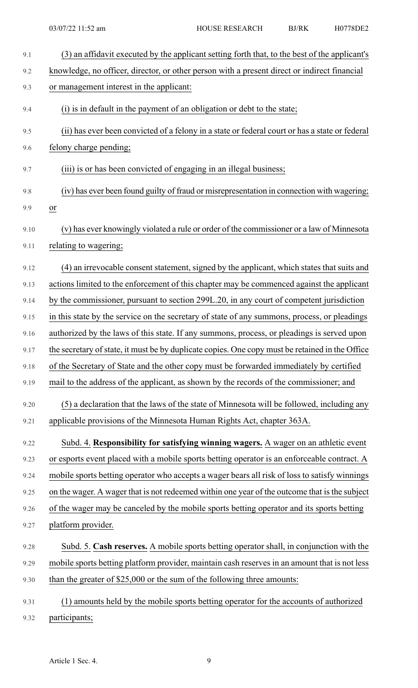| 9.1  | (3) an affidavit executed by the applicant setting forth that, to the best of the applicant's   |
|------|-------------------------------------------------------------------------------------------------|
| 9.2  | knowledge, no officer, director, or other person with a present direct or indirect financial    |
| 9.3  | or management interest in the applicant:                                                        |
| 9.4  | (i) is in default in the payment of an obligation or debt to the state;                         |
| 9.5  | (ii) has ever been convicted of a felony in a state or federal court or has a state or federal  |
| 9.6  | felony charge pending;                                                                          |
| 9.7  | (iii) is or has been convicted of engaging in an illegal business;                              |
| 9.8  | (iv) has ever been found guilty of fraud or misrepresentation in connection with wagering;      |
| 9.9  | or                                                                                              |
| 9.10 | (v) has ever knowingly violated a rule or order of the commissioner or a law of Minnesota       |
| 9.11 | relating to wagering;                                                                           |
| 9.12 | (4) an irrevocable consent statement, signed by the applicant, which states that suits and      |
| 9.13 | actions limited to the enforcement of this chapter may be commenced against the applicant       |
| 9.14 | by the commissioner, pursuant to section 299L.20, in any court of competent jurisdiction        |
| 9.15 | in this state by the service on the secretary of state of any summons, process, or pleadings    |
| 9.16 | authorized by the laws of this state. If any summons, process, or pleadings is served upon      |
| 9.17 | the secretary of state, it must be by duplicate copies. One copy must be retained in the Office |
| 9.18 | of the Secretary of State and the other copy must be forwarded immediately by certified         |
| 9.19 | mail to the address of the applicant, as shown by the records of the commissioner; and          |
| 9.20 | (5) a declaration that the laws of the state of Minnesota will be followed, including any       |
| 9.21 | applicable provisions of the Minnesota Human Rights Act, chapter 363A.                          |
| 9.22 | Subd. 4. Responsibility for satisfying winning wagers. A wager on an athletic event             |
| 9.23 | or esports event placed with a mobile sports betting operator is an enforceable contract. A     |
| 9.24 | mobile sports betting operator who accepts a wager bears all risk of loss to satisfy winnings   |
| 9.25 | on the wager. A wager that is not redeemed within one year of the outcome that is the subject   |
| 9.26 | of the wager may be canceled by the mobile sports betting operator and its sports betting       |
| 9.27 | platform provider.                                                                              |
| 9.28 | Subd. 5. Cash reserves. A mobile sports betting operator shall, in conjunction with the         |
| 9.29 | mobile sports betting platform provider, maintain cash reserves in an amount that is not less   |
| 9.30 | than the greater of \$25,000 or the sum of the following three amounts:                         |
| 9.31 | (1) amounts held by the mobile sports betting operator for the accounts of authorized           |
| 9.32 | participants;                                                                                   |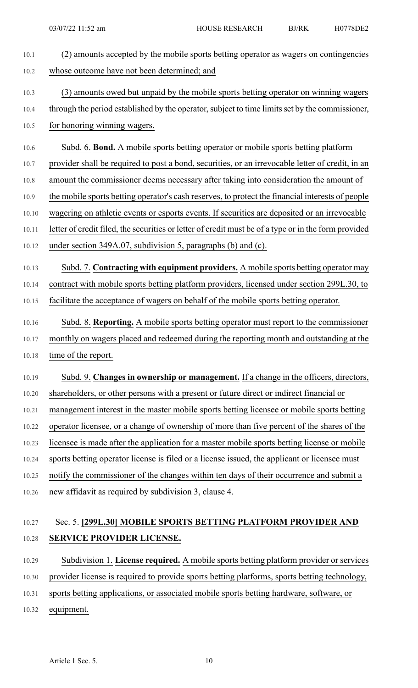| 10.1  | (2) amounts accepted by the mobile sports betting operator as wagers on contingencies                |
|-------|------------------------------------------------------------------------------------------------------|
| 10.2  | whose outcome have not been determined; and                                                          |
| 10.3  | (3) amounts owed but unpaid by the mobile sports betting operator on winning wagers                  |
| 10.4  | through the period established by the operator, subject to time limits set by the commissioner,      |
| 10.5  | for honoring winning wagers.                                                                         |
| 10.6  | Subd. 6. <b>Bond.</b> A mobile sports betting operator or mobile sports betting platform             |
| 10.7  | provider shall be required to post a bond, securities, or an irrevocable letter of credit, in an     |
| 10.8  | amount the commissioner deems necessary after taking into consideration the amount of                |
| 10.9  | the mobile sports betting operator's cash reserves, to protect the financial interests of people     |
| 10.10 | wagering on athletic events or esports events. If securities are deposited or an irrevocable         |
| 10.11 | letter of credit filed, the securities or letter of credit must be of a type or in the form provided |
| 10.12 | under section 349A.07, subdivision 5, paragraphs (b) and (c).                                        |
| 10.13 | Subd. 7. Contracting with equipment providers. A mobile sports betting operator may                  |
| 10.14 | contract with mobile sports betting platform providers, licensed under section 299L.30, to           |
| 10.15 | facilitate the acceptance of wagers on behalf of the mobile sports betting operator.                 |
| 10.16 | Subd. 8. Reporting. A mobile sports betting operator must report to the commissioner                 |
| 10.17 | monthly on wagers placed and redeemed during the reporting month and outstanding at the              |
|       | 10.18 time of the report.                                                                            |
| 10.19 | Subd. 9. Changes in ownership or management. If a change in the officers, directors,                 |
| 10.20 | shareholders, or other persons with a present or future direct or indirect financial or              |
| 10.21 | management interest in the master mobile sports betting licensee or mobile sports betting            |
| 10.22 | operator licensee, or a change of ownership of more than five percent of the shares of the           |
| 10.23 | licensee is made after the application for a master mobile sports betting license or mobile          |
| 10.24 | sports betting operator license is filed or a license issued, the applicant or licensee must         |
| 10.25 | notify the commissioner of the changes within ten days of their occurrence and submit a              |
| 10.26 | new affidavit as required by subdivision 3, clause 4.                                                |
|       |                                                                                                      |

## 10.27 Sec. 5. **[299L.30] MOBILE SPORTS BETTING PLATFORM PROVIDER AND** 10.28 **SERVICE PROVIDER LICENSE.**

10.29 Subdivision 1. **License required.** A mobile sports betting platform provider or services 10.30 provider license is required to provide sports betting platforms, sports betting technology, 10.31 sports betting applications, or associated mobile sports betting hardware, software, or

10.32 equipment.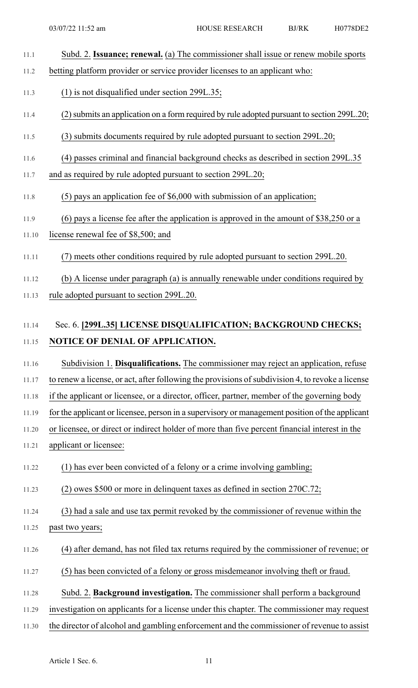- 11.1 Subd. 2. **Issuance; renewal.** (a) The commissioner shall issue or renew mobile sports
- 11.2 betting platform provider or service provider licenses to an applicant who:
- 11.3 (1) is not disqualified under section 299L.35;
- 11.4 (2)submits an application on a form required by rule adopted pursuant to section 299L.20;
- 11.5 (3) submits documents required by rule adopted pursuant to section 299L.20;
- 11.6 (4) passes criminal and financial background checks as described in section 299L.35
- 11.7 and as required by rule adopted pursuant to section 299L.20;
- 11.8 (5) pays an application fee of \$6,000 with submission of an application;
- 11.9 (6) pays a license fee after the application is approved in the amount of \$38,250 or a
- 11.10 license renewal fee of \$8,500; and
- 11.11 (7) meets other conditions required by rule adopted pursuant to section 299L.20.
- 11.12 (b) A license under paragraph (a) is annually renewable under conditions required by
- 11.13 rule adopted pursuant to section 299L.20.

# 11.14 Sec. 6. **[299L.35] LICENSE DISQUALIFICATION; BACKGROUND CHECKS;** 11.15 **NOTICE OF DENIAL OF APPLICATION.**

- 11.16 Subdivision 1. **Disqualifications.** The commissioner may reject an application, refuse
- 11.17 to renew a license, or act, after following the provisions ofsubdivision 4, to revoke a license

11.18 if the applicant or licensee, or a director, officer, partner, member of the governing body

11.19 for the applicant or licensee, person in a supervisory or management position of the applicant

- 11.20 or licensee, or direct or indirect holder of more than five percent financial interest in the
- 11.21 applicant or licensee:
- 11.22 (1) has ever been convicted of a felony or a crime involving gambling;
- 11.23 (2) owes \$500 or more in delinquent taxes as defined in section 270C.72;
- 11.24 (3) had a sale and use tax permit revoked by the commissioner of revenue within the
- 11.25 past two years;
- 11.26 (4) after demand, has not filed tax returns required by the commissioner of revenue; or
- 11.27 (5) has been convicted of a felony or gross misdemeanor involving theft or fraud.
- 11.28 Subd. 2. **Background investigation.** The commissioner shall perform a background
- 11.29 investigation on applicants for a license under this chapter. The commissioner may request
- 11.30 the director of alcohol and gambling enforcement and the commissioner of revenue to assist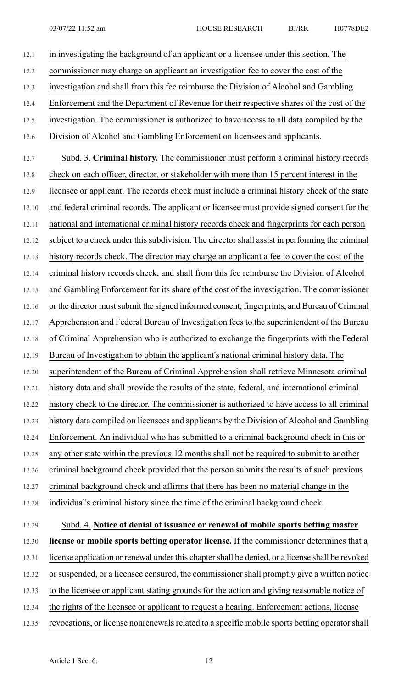12.1 in investigating the background of an applicant or a licensee under this section. The 12.2 commissioner may charge an applicant an investigation fee to cover the cost of the 12.3 investigation and shall from this fee reimburse the Division of Alcohol and Gambling 12.4 Enforcement and the Department of Revenue for their respective shares of the cost of the 12.5 investigation. The commissioner is authorized to have access to all data compiled by the 12.6 Division of Alcohol and Gambling Enforcement on licensees and applicants. 12.7 Subd. 3. **Criminal history.** The commissioner must perform a criminal history records 12.8 check on each officer, director, or stakeholder with more than 15 percent interest in the 12.9 licensee or applicant. The records check must include a criminal history check of the state 12.10 and federal criminal records. The applicant or licensee must provide signed consent for the 12.11 national and international criminal history records check and fingerprints for each person 12.12 subject to a check under this subdivision. The director shall assist in performing the criminal 12.13 history records check. The director may charge an applicant a fee to cover the cost of the 12.14 criminal history records check, and shall from this fee reimburse the Division of Alcohol 12.15 and Gambling Enforcement for its share of the cost of the investigation. The commissioner 12.16 or the director must submit the signed informed consent, fingerprints, and Bureau of Criminal 12.17 Apprehension and Federal Bureau of Investigation fees to the superintendent of the Bureau 12.18 of Criminal Apprehension who is authorized to exchange the fingerprints with the Federal 12.19 Bureau of Investigation to obtain the applicant's national criminal history data. The 12.20 superintendent of the Bureau of Criminal Apprehension shall retrieve Minnesota criminal 12.21 history data and shall provide the results of the state, federal, and international criminal 12.22 history check to the director. The commissioner is authorized to have access to all criminal 12.23 history data compiled on licensees and applicants by the Division of Alcohol and Gambling 12.24 Enforcement. An individual who has submitted to a criminal background check in this or 12.25 any other state within the previous 12 months shall not be required to submit to another 12.26 criminal background check provided that the person submits the results of such previous 12.27 criminal background check and affirms that there has been no material change in the 12.28 individual's criminal history since the time of the criminal background check. 12.29 Subd. 4. **Notice of denial of issuance or renewal of mobile sports betting master** 12.30 **license or mobile sports betting operator license.** If the commissioner determines that a 12.31 license application or renewal under this chaptershall be denied, or a license shall be revoked 12.32 or suspended, or a licensee censured, the commissioner shall promptly give a written notice 12.33 to the licensee or applicant stating grounds for the action and giving reasonable notice of 12.34 the rights of the licensee or applicant to request a hearing. Enforcement actions, license 12.35 revocations, or license nonrenewals related to a specific mobile sports betting operator shall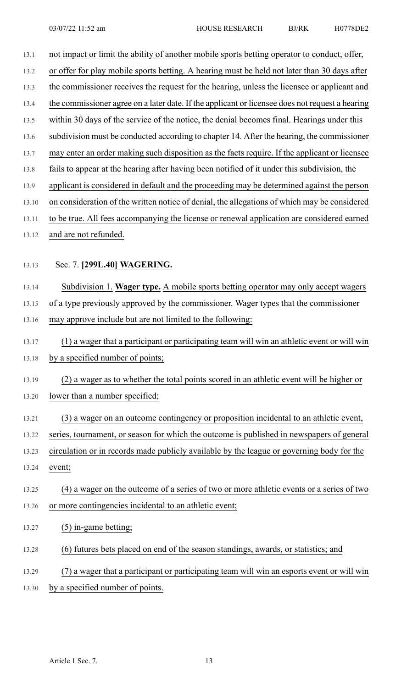| 13.1  | not impact or limit the ability of another mobile sports betting operator to conduct, offer,    |
|-------|-------------------------------------------------------------------------------------------------|
| 13.2  | or offer for play mobile sports betting. A hearing must be held not later than 30 days after    |
| 13.3  | the commissioner receives the request for the hearing, unless the licensee or applicant and     |
| 13.4  | the commissioner agree on a later date. If the applicant or licensee does not request a hearing |
| 13.5  | within 30 days of the service of the notice, the denial becomes final. Hearings under this      |
| 13.6  | subdivision must be conducted according to chapter 14. After the hearing, the commissioner      |
| 13.7  | may enter an order making such disposition as the facts require. If the applicant or licensee   |
| 13.8  | fails to appear at the hearing after having been notified of it under this subdivision, the     |
| 13.9  | applicant is considered in default and the proceeding may be determined against the person      |
| 13.10 | on consideration of the written notice of denial, the allegations of which may be considered    |
| 13.11 | to be true. All fees accompanying the license or renewal application are considered earned      |
| 13.12 | and are not refunded.                                                                           |
|       |                                                                                                 |
| 13.13 | Sec. 7. [299L.40] WAGERING.                                                                     |
| 13.14 | Subdivision 1. Wager type. A mobile sports betting operator may only accept wagers              |
| 13.15 | of a type previously approved by the commissioner. Wager types that the commissioner            |
| 13.16 | may approve include but are not limited to the following:                                       |
| 13.17 | (1) a wager that a participant or participating team will win an athletic event or will win     |
| 13.18 | by a specified number of points;                                                                |
| 13.19 | (2) a wager as to whether the total points scored in an athletic event will be higher or        |
| 13.20 | lower than a number specified;                                                                  |
|       |                                                                                                 |
| 13.21 | (3) a wager on an outcome contingency or proposition incidental to an athletic event,           |
| 13.22 | series, tournament, or season for which the outcome is published in newspapers of general       |
| 13.23 | circulation or in records made publicly available by the league or governing body for the       |
| 13.24 | event;                                                                                          |
| 13.25 | (4) a wager on the outcome of a series of two or more athletic events or a series of two        |
| 13.26 | or more contingencies incidental to an athletic event;                                          |
| 13.27 | $(5)$ in-game betting;                                                                          |
| 13.28 | (6) futures bets placed on end of the season standings, awards, or statistics; and              |
| 13.29 | (7) a wager that a participant or participating team will win an esports event or will win      |
| 13.30 | by a specified number of points.                                                                |
|       |                                                                                                 |
|       |                                                                                                 |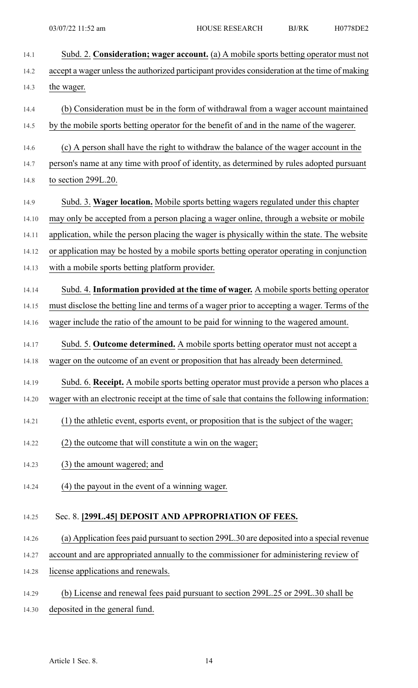| 14.1  | Subd. 2. Consideration; wager account. (a) A mobile sports betting operator must not          |
|-------|-----------------------------------------------------------------------------------------------|
| 14.2  | accept a wager unless the authorized participant provides consideration at the time of making |
| 14.3  | the wager.                                                                                    |
| 14.4  | (b) Consideration must be in the form of withdrawal from a wager account maintained           |
| 14.5  | by the mobile sports betting operator for the benefit of and in the name of the wagerer.      |
| 14.6  | (c) A person shall have the right to withdraw the balance of the wager account in the         |
| 14.7  | person's name at any time with proof of identity, as determined by rules adopted pursuant     |
| 14.8  | to section 299L.20.                                                                           |
| 14.9  | Subd. 3. Wager location. Mobile sports betting wagers regulated under this chapter            |
| 14.10 | may only be accepted from a person placing a wager online, through a website or mobile        |
| 14.11 | application, while the person placing the wager is physically within the state. The website   |
| 14.12 | or application may be hosted by a mobile sports betting operator operating in conjunction     |
| 14.13 | with a mobile sports betting platform provider.                                               |
| 14.14 | Subd. 4. Information provided at the time of wager. A mobile sports betting operator          |
| 14.15 | must disclose the betting line and terms of a wager prior to accepting a wager. Terms of the  |
| 14.16 | wager include the ratio of the amount to be paid for winning to the wagered amount.           |
| 14.17 | Subd. 5. Outcome determined. A mobile sports betting operator must not accept a               |
| 14.18 | wager on the outcome of an event or proposition that has already been determined.             |
| 14.19 | Subd. 6. Receipt. A mobile sports betting operator must provide a person who places a         |
| 14.20 | wager with an electronic receipt at the time of sale that contains the following information: |
| 14.21 | (1) the athletic event, esports event, or proposition that is the subject of the wager;       |
| 14.22 | (2) the outcome that will constitute a win on the wager;                                      |
| 14.23 | (3) the amount wagered; and                                                                   |
| 14.24 | (4) the payout in the event of a winning wager.                                               |
|       |                                                                                               |
| 14.25 | Sec. 8. [299L.45] DEPOSIT AND APPROPRIATION OF FEES.                                          |
| 14.26 | (a) Application fees paid pursuant to section 299L.30 are deposited into a special revenue    |
| 14.27 | account and are appropriated annually to the commissioner for administering review of         |
| 14.28 | license applications and renewals.                                                            |
| 14.29 | (b) License and renewal fees paid pursuant to section 299L.25 or 299L.30 shall be             |

14.30 deposited in the general fund.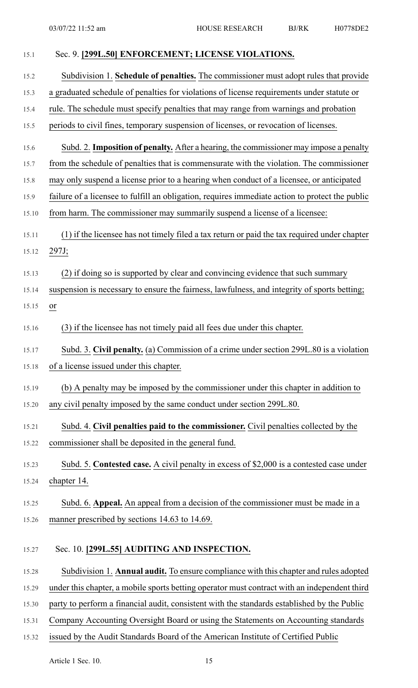| 15.1  | Sec. 9. [299L.50] ENFORCEMENT; LICENSE VIOLATIONS.                                              |
|-------|-------------------------------------------------------------------------------------------------|
| 15.2  | Subdivision 1. Schedule of penalties. The commissioner must adopt rules that provide            |
| 15.3  | a graduated schedule of penalties for violations of license requirements under statute or       |
| 15.4  | rule. The schedule must specify penalties that may range from warnings and probation            |
| 15.5  | periods to civil fines, temporary suspension of licenses, or revocation of licenses.            |
| 15.6  | Subd. 2. Imposition of penalty. After a hearing, the commissioner may impose a penalty          |
| 15.7  | from the schedule of penalties that is commensurate with the violation. The commissioner        |
| 15.8  | may only suspend a license prior to a hearing when conduct of a licensee, or anticipated        |
| 15.9  | failure of a licensee to fulfill an obligation, requires immediate action to protect the public |
| 15.10 | from harm. The commissioner may summarily suspend a license of a licensee:                      |
| 15.11 | (1) if the licensee has not timely filed a tax return or paid the tax required under chapter    |
| 15.12 | 297J;                                                                                           |
| 15.13 | (2) if doing so is supported by clear and convincing evidence that such summary                 |
| 15.14 | suspension is necessary to ensure the fairness, lawfulness, and integrity of sports betting;    |
| 15.15 | or                                                                                              |
| 15.16 | (3) if the licensee has not timely paid all fees due under this chapter.                        |
| 15.17 | Subd. 3. Civil penalty. (a) Commission of a crime under section 299L.80 is a violation          |
| 15.18 | of a license issued under this chapter.                                                         |
| 15.19 | (b) A penalty may be imposed by the commissioner under this chapter in addition to              |
| 15.20 | any civil penalty imposed by the same conduct under section 299L.80.                            |
| 15.21 | Subd. 4. Civil penalties paid to the commissioner. Civil penalties collected by the             |
| 15.22 | commissioner shall be deposited in the general fund.                                            |
| 15.23 | Subd. 5. Contested case. A civil penalty in excess of \$2,000 is a contested case under         |
| 15.24 | chapter 14.                                                                                     |
| 15.25 | Subd. 6. Appeal. An appeal from a decision of the commissioner must be made in a                |
| 15.26 | manner prescribed by sections 14.63 to 14.69.                                                   |
|       |                                                                                                 |
| 15.27 | Sec. 10. [299L.55] AUDITING AND INSPECTION.                                                     |
| 15.28 | Subdivision 1. Annual audit. To ensure compliance with this chapter and rules adopted           |
| 15.29 | under this chapter, a mobile sports betting operator must contract with an independent third    |
| 15.30 | party to perform a financial audit, consistent with the standards established by the Public     |
| 15.31 | Company Accounting Oversight Board or using the Statements on Accounting standards              |
| 15.32 | issued by the Audit Standards Board of the American Institute of Certified Public               |

Article 1 Sec. 10. 15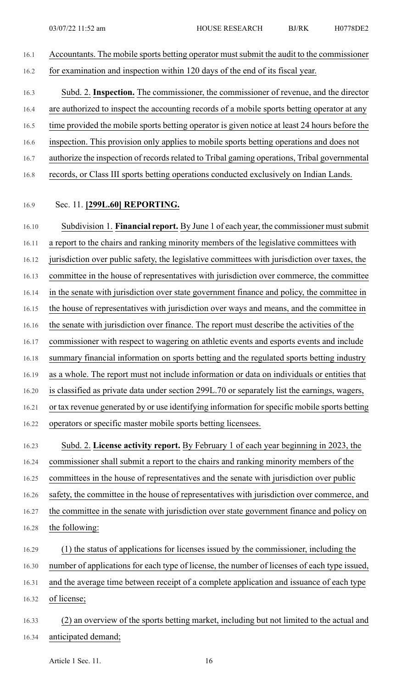16.1 Accountants. The mobile sports betting operator must submit the audit to the commissioner 16.2 for examination and inspection within 120 days of the end of its fiscal year. 16.3 Subd. 2. **Inspection.** The commissioner, the commissioner of revenue, and the director 16.4 are authorized to inspect the accounting records of a mobile sports betting operator at any 16.5 time provided the mobile sports betting operator is given notice at least 24 hours before the 16.6 inspection. This provision only applies to mobile sports betting operations and does not

16.7 authorize the inspection of records related to Tribal gaming operations, Tribal governmental

16.8 records, or Class III sports betting operations conducted exclusively on Indian Lands.

#### 16.9 Sec. 11. **[299L.60] REPORTING.**

16.10 Subdivision 1. **Financial report.** By June 1 of each year, the commissioner mustsubmit 16.11 a report to the chairs and ranking minority members of the legislative committees with 16.12 jurisdiction over public safety, the legislative committees with jurisdiction over taxes, the 16.13 committee in the house of representatives with jurisdiction over commerce, the committee 16.14 in the senate with jurisdiction over state government finance and policy, the committee in 16.15 the house of representatives with jurisdiction over ways and means, and the committee in 16.16 the senate with jurisdiction over finance. The report must describe the activities of the 16.17 commissioner with respect to wagering on athletic events and esports events and include 16.18 summary financial information on sports betting and the regulated sports betting industry 16.19 as a whole. The report must not include information or data on individuals or entities that 16.20 is classified as private data under section 299L.70 or separately list the earnings, wagers, 16.21 or tax revenue generated by or use identifying information for specific mobile sports betting 16.22 operators or specific master mobile sports betting licensees. 16.23 Subd. 2. **License activity report.** By February 1 of each year beginning in 2023, the 16.24 commissioner shall submit a report to the chairs and ranking minority members of the 16.25 committees in the house of representatives and the senate with jurisdiction over public

16.27 the committee in the senate with jurisdiction over state government finance and policy on 16.28 the following:

16.26 safety, the committee in the house of representatives with jurisdiction over commerce, and

- 16.29 (1) the status of applications for licenses issued by the commissioner, including the 16.30 number of applications for each type of license, the number of licenses of each type issued, 16.31 and the average time between receipt of a complete application and issuance of each type
- 16.32 of license;

16.33 (2) an overview of the sports betting market, including but not limited to the actual and 16.34 anticipated demand;

Article 1 Sec. 11. 16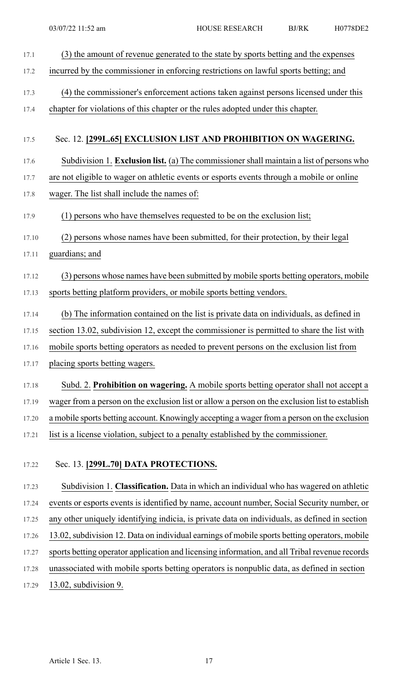| 17.1  | (3) the amount of revenue generated to the state by sports betting and the expenses            |
|-------|------------------------------------------------------------------------------------------------|
| 17.2  | incurred by the commissioner in enforcing restrictions on lawful sports betting; and           |
| 17.3  | (4) the commissioner's enforcement actions taken against persons licensed under this           |
| 17.4  | chapter for violations of this chapter or the rules adopted under this chapter.                |
|       |                                                                                                |
| 17.5  | Sec. 12. [299L.65] EXCLUSION LIST AND PROHIBITION ON WAGERING.                                 |
| 17.6  | Subdivision 1. Exclusion list. (a) The commissioner shall maintain a list of persons who       |
| 17.7  | are not eligible to wager on athletic events or esports events through a mobile or online      |
| 17.8  | wager. The list shall include the names of:                                                    |
| 17.9  | (1) persons who have themselves requested to be on the exclusion list;                         |
| 17.10 | (2) persons whose names have been submitted, for their protection, by their legal              |
| 17.11 | guardians; and                                                                                 |
| 17.12 | (3) persons whose names have been submitted by mobile sports betting operators, mobile         |
| 17.13 | sports betting platform providers, or mobile sports betting vendors.                           |
| 17.14 | (b) The information contained on the list is private data on individuals, as defined in        |
| 17.15 | section 13.02, subdivision 12, except the commissioner is permitted to share the list with     |
| 17.16 | mobile sports betting operators as needed to prevent persons on the exclusion list from        |
| 17.17 | placing sports betting wagers.                                                                 |
| 17.18 | Subd. 2. Prohibition on wagering. A mobile sports betting operator shall not accept a          |
| 17.19 | wager from a person on the exclusion list or allow a person on the exclusion list to establish |
| 17.20 | a mobile sports betting account. Knowingly accepting a wager from a person on the exclusion    |
| 17.21 | list is a license violation, subject to a penalty established by the commissioner.             |
|       |                                                                                                |
| 17.22 | Sec. 13. [299L.70] DATA PROTECTIONS.                                                           |
| 17.23 | Subdivision 1. Classification. Data in which an individual who has wagered on athletic         |
| 17.24 | events or esports events is identified by name, account number, Social Security number, or     |
| 17.25 | any other uniquely identifying indicia, is private data on individuals, as defined in section  |
| 17.26 | 13.02, subdivision 12. Data on individual earnings of mobile sports betting operators, mobile  |
| 17.27 | sports betting operator application and licensing information, and all Tribal revenue records  |
| 17.28 | unassociated with mobile sports betting operators is nonpublic data, as defined in section     |
| 17.29 | 13.02, subdivision 9.                                                                          |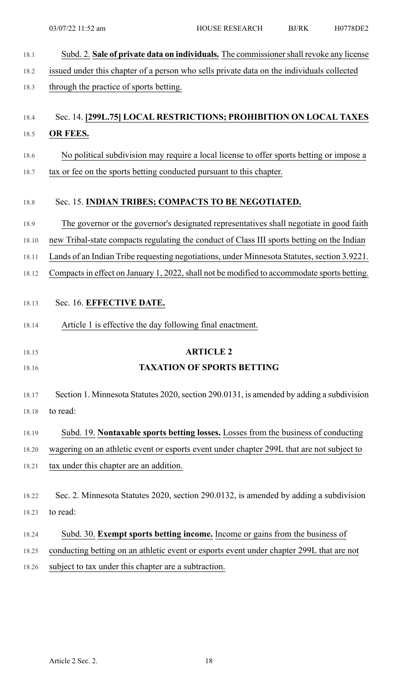| 18.1  | Subd. 2. Sale of private data on individuals. The commissioner shall revoke any license     |
|-------|---------------------------------------------------------------------------------------------|
| 18.2  | issued under this chapter of a person who sells private data on the individuals collected   |
| 18.3  | through the practice of sports betting.                                                     |
|       |                                                                                             |
| 18.4  | Sec. 14. [299L.75] LOCAL RESTRICTIONS; PROHIBITION ON LOCAL TAXES                           |
| 18.5  | OR FEES.                                                                                    |
| 18.6  | No political subdivision may require a local license to offer sports betting or impose a    |
| 18.7  | tax or fee on the sports betting conducted pursuant to this chapter.                        |
|       |                                                                                             |
| 18.8  | Sec. 15. INDIAN TRIBES; COMPACTS TO BE NEGOTIATED.                                          |
| 18.9  | The governor or the governor's designated representatives shall negotiate in good faith     |
| 18.10 | new Tribal-state compacts regulating the conduct of Class III sports betting on the Indian  |
| 18.11 | Lands of an Indian Tribe requesting negotiations, under Minnesota Statutes, section 3.9221. |
| 18.12 | Compacts in effect on January 1, 2022, shall not be modified to accommodate sports betting. |
|       |                                                                                             |
| 18.13 | Sec. 16. EFFECTIVE DATE.                                                                    |
| 18.14 | Article 1 is effective the day following final enactment.                                   |
| 18.15 | <b>ARTICLE 2</b>                                                                            |
| 18.16 | <b>TAXATION OF SPORTS BETTING</b>                                                           |
|       |                                                                                             |
| 18.17 | Section 1. Minnesota Statutes 2020, section 290.0131, is amended by adding a subdivision    |
| 18.18 | to read:                                                                                    |
| 18.19 | Subd. 19. Nontaxable sports betting losses. Losses from the business of conducting          |
| 18.20 | wagering on an athletic event or esports event under chapter 299L that are not subject to   |
| 18.21 | tax under this chapter are an addition.                                                     |
|       |                                                                                             |
|       |                                                                                             |
| 18.22 | Sec. 2. Minnesota Statutes 2020, section 290.0132, is amended by adding a subdivision       |

- 18.24 Subd. 30. **Exempt sports betting income.** Income or gains from the business of
- 18.25 conducting betting on an athletic event or esports event under chapter 299L that are not
- 18.26 subject to tax under this chapter are a subtraction.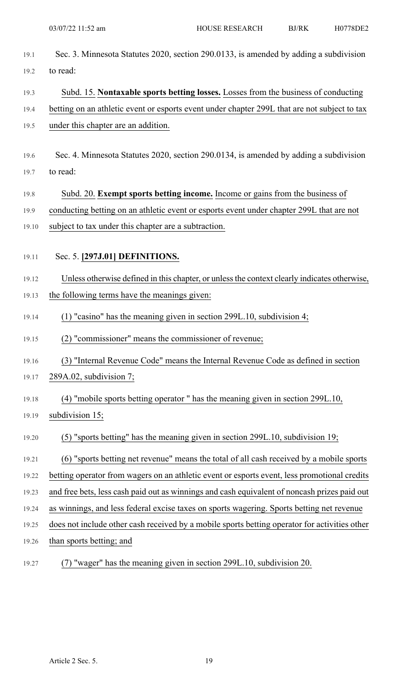- 19.1 Sec. 3. Minnesota Statutes 2020, section 290.0133, is amended by adding a subdivision 19.2 to read:
- 19.3 Subd. 15. **Nontaxable sports betting losses.** Losses from the business of conducting
- 19.4 betting on an athletic event or esports event under chapter 299L that are not subject to tax 19.5 under this chapter are an addition.
- 19.6 Sec. 4. Minnesota Statutes 2020, section 290.0134, is amended by adding a subdivision 19.7 to read:

19.8 Subd. 20. **Exempt sports betting income.** Income or gains from the business of 19.9 conducting betting on an athletic event or esports event under chapter 299L that are not 19.10 subject to tax under this chapter are a subtraction.

- 19.11 Sec. 5. **[297J.01] DEFINITIONS.**
- 19.12 Unless otherwise defined in this chapter, or unlessthe context clearly indicates otherwise,
- 19.13 the following terms have the meanings given:
- 19.14 (1) "casino" has the meaning given in section 299L.10, subdivision 4;
- 19.15 (2) "commissioner" means the commissioner of revenue;
- 19.16 (3) "Internal Revenue Code" means the Internal Revenue Code as defined in section
- 19.17 289A.02, subdivision 7;
- 19.18 (4) "mobile sports betting operator " has the meaning given in section 299L.10,

19.19 **subdivision 15;** 

19.20 (5) "sports betting" has the meaning given in section 299L.10, subdivision 19;

19.21 (6) "sports betting net revenue" means the total of all cash received by a mobile sports

- 19.22 betting operator from wagers on an athletic event or esports event, less promotional credits
- 19.23 and free bets, less cash paid out as winnings and cash equivalent of noncash prizes paid out
- 19.24 as winnings, and less federal excise taxes on sports wagering. Sports betting net revenue
- 19.25 does not include other cash received by a mobile sports betting operator for activities other
- 19.26 than sports betting; and
- 19.27 (7) "wager" has the meaning given in section 299L.10, subdivision 20.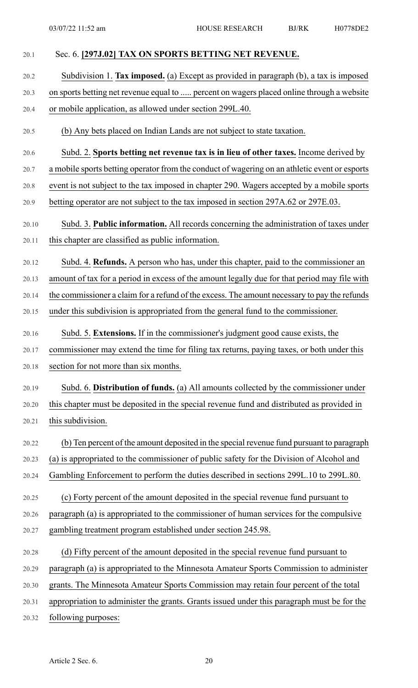| 20.1  | Sec. 6. [297J.02] TAX ON SPORTS BETTING NET REVENUE.                                          |
|-------|-----------------------------------------------------------------------------------------------|
| 20.2  | Subdivision 1. Tax imposed. (a) Except as provided in paragraph (b), a tax is imposed         |
| 20.3  | on sports betting net revenue equal to  percent on wagers placed online through a website     |
| 20.4  | or mobile application, as allowed under section 299L.40.                                      |
| 20.5  | (b) Any bets placed on Indian Lands are not subject to state taxation.                        |
| 20.6  | Subd. 2. Sports betting net revenue tax is in lieu of other taxes. Income derived by          |
| 20.7  | a mobile sports betting operator from the conduct of wagering on an athletic event or esports |
| 20.8  | event is not subject to the tax imposed in chapter 290. Wagers accepted by a mobile sports    |
| 20.9  | betting operator are not subject to the tax imposed in section 297A.62 or 297E.03.            |
| 20.10 | Subd. 3. Public information. All records concerning the administration of taxes under         |
| 20.11 | this chapter are classified as public information.                                            |
| 20.12 | Subd. 4. Refunds. A person who has, under this chapter, paid to the commissioner an           |
| 20.13 | amount of tax for a period in excess of the amount legally due for that period may file with  |
| 20.14 | the commissioner a claim for a refund of the excess. The amount necessary to pay the refunds  |
| 20.15 | under this subdivision is appropriated from the general fund to the commissioner.             |
| 20.16 | Subd. 5. Extensions. If in the commissioner's judgment good cause exists, the                 |
| 20.17 | commissioner may extend the time for filing tax returns, paying taxes, or both under this     |
| 20.18 | section for not more than six months.                                                         |
| 20.19 | Subd. 6. Distribution of funds. (a) All amounts collected by the commissioner under           |
| 20.20 | this chapter must be deposited in the special revenue fund and distributed as provided in     |
| 20.21 | this subdivision.                                                                             |
| 20.22 | (b) Ten percent of the amount deposited in the special revenue fund pursuant to paragraph     |
| 20.23 | (a) is appropriated to the commissioner of public safety for the Division of Alcohol and      |
| 20.24 | Gambling Enforcement to perform the duties described in sections 299L.10 to 299L.80.          |
| 20.25 | (c) Forty percent of the amount deposited in the special revenue fund pursuant to             |
| 20.26 | paragraph (a) is appropriated to the commissioner of human services for the compulsive        |
| 20.27 | gambling treatment program established under section 245.98.                                  |
| 20.28 | (d) Fifty percent of the amount deposited in the special revenue fund pursuant to             |
| 20.29 | paragraph (a) is appropriated to the Minnesota Amateur Sports Commission to administer        |
| 20.30 | grants. The Minnesota Amateur Sports Commission may retain four percent of the total          |
| 20.31 | appropriation to administer the grants. Grants issued under this paragraph must be for the    |
| 20.32 | following purposes:                                                                           |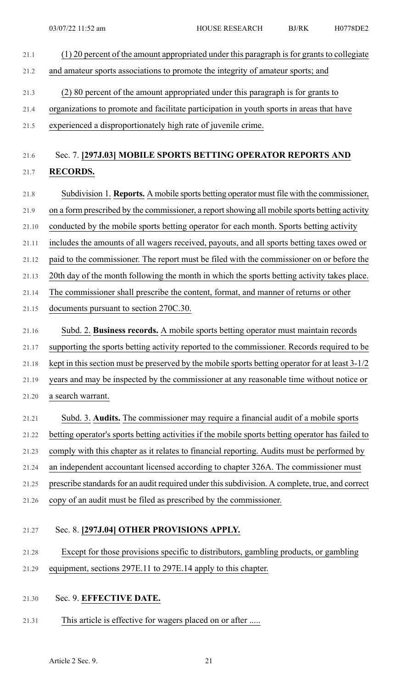- 21.1 (1) 20 percent of the amount appropriated under this paragraph is for grants to collegiate 21.2 and amateur sports associations to promote the integrity of amateur sports; and
- 21.3 (2) 80 percent of the amount appropriated under this paragraph is for grants to
- 21.4 organizations to promote and facilitate participation in youth sports in areas that have
- 21.5 experienced a disproportionately high rate of juvenile crime.

### 21.6 Sec. 7. **[297J.03] MOBILE SPORTS BETTING OPERATOR REPORTS AND**

### 21.7 **RECORDS.**

21.8 Subdivision 1. **Reports.** A mobile sports betting operator must file with the commissioner, 21.9 on a form prescribed by the commissioner, a report showing all mobile sports betting activity

21.10 conducted by the mobile sports betting operator for each month. Sports betting activity

21.11 includes the amounts of all wagers received, payouts, and all sports betting taxes owed or

21.12 paid to the commissioner. The report must be filed with the commissioner on or before the

21.13 20th day of the month following the month in which the sports betting activity takes place.

21.14 The commissioner shall prescribe the content, format, and manner of returns or other

- 21.15 documents pursuant to section 270C.30.
- 21.16 Subd. 2. **Business records.** A mobile sports betting operator must maintain records

21.17 supporting the sports betting activity reported to the commissioner. Records required to be

21.18 kept in this section must be preserved by the mobile sports betting operator for at least 3-1/2

- 21.19 years and may be inspected by the commissioner at any reasonable time without notice or
- 21.20 a search warrant.
- 21.21 Subd. 3. **Audits.** The commissioner may require a financial audit of a mobile sports

21.22 betting operator's sports betting activities if the mobile sports betting operator has failed to

- 21.23 comply with this chapter as it relates to financial reporting. Audits must be performed by
- 21.24 an independent accountant licensed according to chapter 326A. The commissioner must
- 21.25 prescribe standards for an audit required under this subdivision. A complete, true, and correct
- 21.26 copy of an audit must be filed as prescribed by the commissioner.

## 21.27 Sec. 8. **[297J.04] OTHER PROVISIONS APPLY.**

- 21.28 Except for those provisions specific to distributors, gambling products, or gambling 21.29 equipment, sections 297E.11 to 297E.14 apply to this chapter.
- 21.30 Sec. 9. **EFFECTIVE DATE.**
- 21.31 This article is effective for wagers placed on or after .....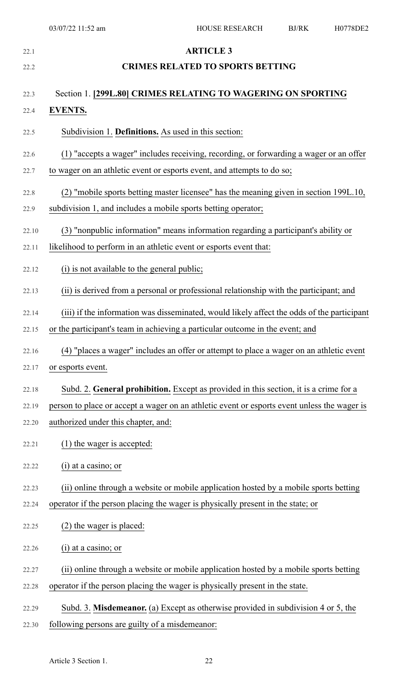| 22.1  | <b>ARTICLE 3</b>                                                                            |
|-------|---------------------------------------------------------------------------------------------|
| 22.2  | <b>CRIMES RELATED TO SPORTS BETTING</b>                                                     |
| 22.3  | Section 1. [299L.80] CRIMES RELATING TO WAGERING ON SPORTING                                |
| 22.4  | <b>EVENTS.</b>                                                                              |
| 22.5  | Subdivision 1. Definitions. As used in this section:                                        |
| 22.6  | (1) "accepts a wager" includes receiving, recording, or forwarding a wager or an offer      |
| 22.7  | to wager on an athletic event or esports event, and attempts to do so;                      |
| 22.8  | (2) "mobile sports betting master licensee" has the meaning given in section 199L.10,       |
| 22.9  | subdivision 1, and includes a mobile sports betting operator;                               |
| 22.10 | (3) "nonpublic information" means information regarding a participant's ability or          |
| 22.11 | likelihood to perform in an athletic event or esports event that:                           |
| 22.12 | (i) is not available to the general public;                                                 |
| 22.13 | (ii) is derived from a personal or professional relationship with the participant; and      |
| 22.14 | (iii) if the information was disseminated, would likely affect the odds of the participant  |
| 22.15 | or the participant's team in achieving a particular outcome in the event; and               |
| 22.16 | (4) "places a wager" includes an offer or attempt to place a wager on an athletic event     |
| 22.17 | or esports event.                                                                           |
| 22.18 | Subd. 2. General prohibition. Except as provided in this section, it is a crime for a       |
| 22.19 | person to place or accept a wager on an athletic event or esports event unless the wager is |
| 22.20 | authorized under this chapter, and:                                                         |
| 22.21 | $(1)$ the wager is accepted:                                                                |
| 22.22 | (i) at a casino; or                                                                         |
| 22.23 | (ii) online through a website or mobile application hosted by a mobile sports betting       |
| 22.24 | operator if the person placing the wager is physically present in the state; or             |
| 22.25 | (2) the wager is placed:                                                                    |
| 22.26 | $(i)$ at a casino; or                                                                       |
| 22.27 | (ii) online through a website or mobile application hosted by a mobile sports betting       |
| 22.28 | operator if the person placing the wager is physically present in the state.                |
| 22.29 | Subd. 3. Misdemeanor. (a) Except as otherwise provided in subdivision 4 or 5, the           |
| 22.30 | following persons are guilty of a misdemeanor:                                              |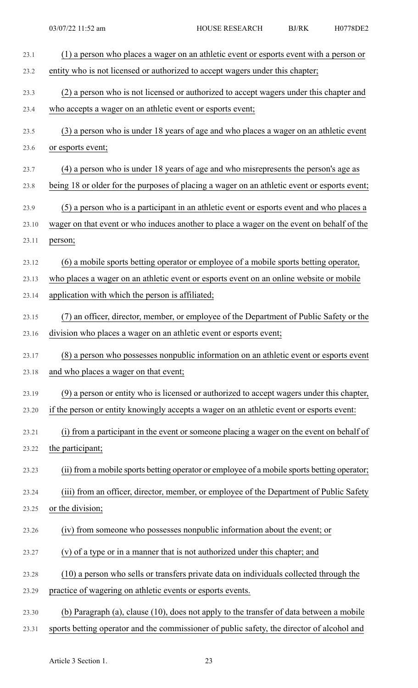| 23.1  | (1) a person who places a wager on an athletic event or esports event with a person or       |
|-------|----------------------------------------------------------------------------------------------|
| 23.2  | entity who is not licensed or authorized to accept wagers under this chapter;                |
| 23.3  | (2) a person who is not licensed or authorized to accept wagers under this chapter and       |
| 23.4  | who accepts a wager on an athletic event or esports event;                                   |
| 23.5  | (3) a person who is under 18 years of age and who places a wager on an athletic event        |
| 23.6  | or esports event;                                                                            |
| 23.7  | (4) a person who is under 18 years of age and who misrepresents the person's age as          |
| 23.8  | being 18 or older for the purposes of placing a wager on an athletic event or esports event; |
| 23.9  | (5) a person who is a participant in an athletic event or esports event and who places a     |
| 23.10 | wager on that event or who induces another to place a wager on the event on behalf of the    |
| 23.11 | person;                                                                                      |
| 23.12 | (6) a mobile sports betting operator or employee of a mobile sports betting operator,        |
| 23.13 | who places a wager on an athletic event or esports event on an online website or mobile      |
| 23.14 | application with which the person is affiliated;                                             |
| 23.15 | (7) an officer, director, member, or employee of the Department of Public Safety or the      |
| 23.16 | division who places a wager on an athletic event or esports event;                           |
| 23.17 | (8) a person who possesses nonpublic information on an athletic event or esports event       |
| 23.18 | and who places a wager on that event;                                                        |
| 23.19 | (9) a person or entity who is licensed or authorized to accept wagers under this chapter,    |
| 23.20 | if the person or entity knowingly accepts a wager on an athletic event or esports event:     |
| 23.21 | (i) from a participant in the event or someone placing a wager on the event on behalf of     |
| 23.22 | the participant;                                                                             |
| 23.23 | (ii) from a mobile sports betting operator or employee of a mobile sports betting operator;  |
| 23.24 | (iii) from an officer, director, member, or employee of the Department of Public Safety      |
| 23.25 | or the division;                                                                             |
| 23.26 | (iv) from someone who possesses nonpublic information about the event; or                    |
| 23.27 | (v) of a type or in a manner that is not authorized under this chapter; and                  |
|       |                                                                                              |
| 23.28 | (10) a person who sells or transfers private data on individuals collected through the       |
| 23.29 | practice of wagering on athletic events or esports events.                                   |
| 23.30 | (b) Paragraph (a), clause (10), does not apply to the transfer of data between a mobile      |
| 23.31 | sports betting operator and the commissioner of public safety, the director of alcohol and   |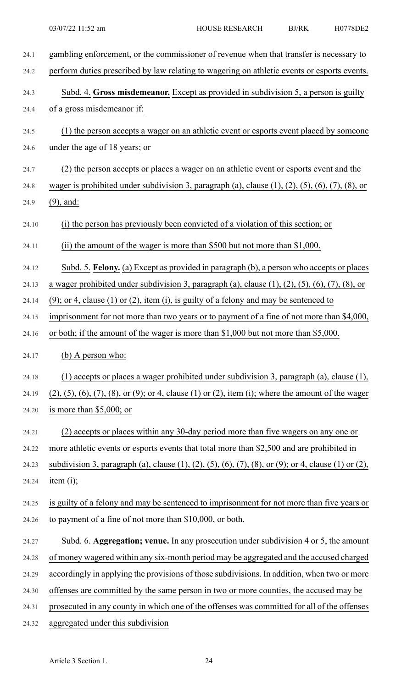| 24.1  | gambling enforcement, or the commissioner of revenue when that transfer is necessary to                                       |
|-------|-------------------------------------------------------------------------------------------------------------------------------|
| 24.2  | perform duties prescribed by law relating to wagering on athletic events or esports events.                                   |
| 24.3  | Subd. 4. Gross misdemeanor. Except as provided in subdivision 5, a person is guilty                                           |
| 24.4  | of a gross misdemeanor if:                                                                                                    |
| 24.5  | (1) the person accepts a wager on an athletic event or esports event placed by someone                                        |
| 24.6  | under the age of 18 years; or                                                                                                 |
| 24.7  | (2) the person accepts or places a wager on an athletic event or esports event and the                                        |
| 24.8  | wager is prohibited under subdivision 3, paragraph (a), clause $(1)$ , $(2)$ , $(5)$ , $(6)$ , $(7)$ , $(8)$ , or             |
| 24.9  | $(9)$ , and:                                                                                                                  |
| 24.10 | (i) the person has previously been convicted of a violation of this section; or                                               |
| 24.11 | (ii) the amount of the wager is more than \$500 but not more than $$1,000$ .                                                  |
| 24.12 | Subd. 5. Felony. (a) Except as provided in paragraph (b), a person who accepts or places                                      |
| 24.13 | a wager prohibited under subdivision 3, paragraph (a), clause $(1)$ , $(2)$ , $(5)$ , $(6)$ , $(7)$ , $(8)$ , or              |
| 24.14 | $(9)$ ; or 4, clause $(1)$ or $(2)$ , item $(i)$ , is guilty of a felony and may be sentenced to                              |
| 24.15 | imprisonment for not more than two years or to payment of a fine of not more than \$4,000,                                    |
| 24.16 | or both; if the amount of the wager is more than \$1,000 but not more than \$5,000.                                           |
|       |                                                                                                                               |
| 24.17 | (b) A person who:                                                                                                             |
| 24.18 | $(1)$ accepts or places a wager prohibited under subdivision 3, paragraph (a), clause $(1)$ ,                                 |
| 24.19 | $(2)$ , $(5)$ , $(6)$ , $(7)$ , $(8)$ , or $(9)$ ; or 4, clause $(1)$ or $(2)$ , item $(i)$ ; where the amount of the wager   |
| 24.20 | is more than $$5,000$ ; or                                                                                                    |
| 24.21 | (2) accepts or places within any 30-day period more than five wagers on any one or                                            |
| 24.22 | more athletic events or esports events that total more than \$2,500 and are prohibited in                                     |
| 24.23 | subdivision 3, paragraph (a), clause $(1)$ , $(2)$ , $(5)$ , $(6)$ , $(7)$ , $(8)$ , or $(9)$ ; or 4, clause $(1)$ or $(2)$ , |
| 24.24 | item $(i)$ ;                                                                                                                  |
| 24.25 | is guilty of a felony and may be sentenced to imprisonment for not more than five years or                                    |
| 24.26 | to payment of a fine of not more than \$10,000, or both.                                                                      |
| 24.27 | Subd. 6. Aggregation; venue. In any prosecution under subdivision 4 or 5, the amount                                          |
| 24.28 | of money wagered within any six-month period may be aggregated and the accused charged                                        |
| 24.29 | accordingly in applying the provisions of those subdivisions. In addition, when two or more                                   |
| 24.30 | offenses are committed by the same person in two or more counties, the accused may be                                         |
| 24.31 | prosecuted in any county in which one of the offenses was committed for all of the offenses                                   |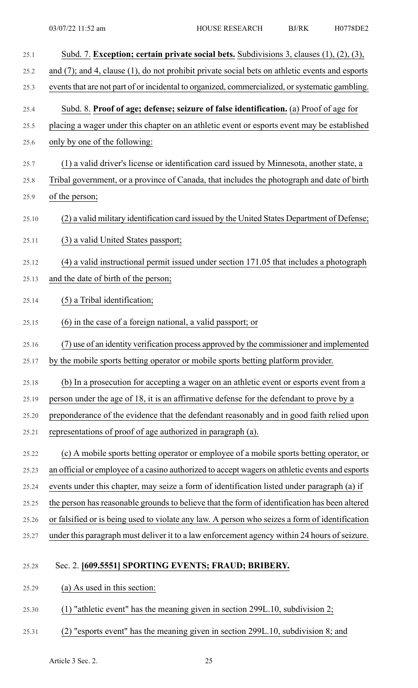| 25.1  | Subd. 7. Exception; certain private social bets. Subdivisions 3, clauses $(1)$ , $(2)$ , $(3)$ , |
|-------|--------------------------------------------------------------------------------------------------|
| 25.2  | and (7); and 4, clause (1), do not prohibit private social bets on athletic events and esports   |
| 25.3  | events that are not part of or incidental to organized, commercialized, or systematic gambling.  |
| 25.4  | Subd. 8. Proof of age; defense; seizure of false identification. (a) Proof of age for            |
| 25.5  | placing a wager under this chapter on an athletic event or esports event may be established      |
| 25.6  | only by one of the following:                                                                    |
| 25.7  | (1) a valid driver's license or identification card issued by Minnesota, another state, a        |
| 25.8  | Tribal government, or a province of Canada, that includes the photograph and date of birth       |
| 25.9  | of the person;                                                                                   |
| 25.10 | (2) a valid military identification card issued by the United States Department of Defense;      |
| 25.11 | (3) a valid United States passport;                                                              |
| 25.12 | (4) a valid instructional permit issued under section 171.05 that includes a photograph          |
| 25.13 | and the date of birth of the person;                                                             |
| 25.14 | (5) a Tribal identification;                                                                     |
| 25.15 | (6) in the case of a foreign national, a valid passport; or                                      |
| 25.16 | use of an identity verification process approved by the commissioner and implemented             |
| 25.17 | by the mobile sports betting operator or mobile sports betting platform provider.                |
| 25.18 | (b) In a prosecution for accepting a wager on an athletic event or esports event from a          |
| 25.19 | person under the age of 18, it is an affirmative defense for the defendant to prove by a         |
| 25.20 | preponderance of the evidence that the defendant reasonably and in good faith relied upon        |
| 25.21 | representations of proof of age authorized in paragraph (a).                                     |
| 25.22 | (c) A mobile sports betting operator or employee of a mobile sports betting operator, or         |
| 25.23 | an official or employee of a casino authorized to accept wagers on athletic events and esports   |
| 25.24 | events under this chapter, may seize a form of identification listed under paragraph (a) if      |
| 25.25 | the person has reasonable grounds to believe that the form of identification has been altered    |
| 25.26 | or falsified or is being used to violate any law. A person who seizes a form of identification   |
| 25.27 | under this paragraph must deliver it to a law enforcement agency within 24 hours of seizure.     |
| 25.28 | Sec. 2. [609.5551] SPORTING EVENTS; FRAUD; BRIBERY.                                              |
| 25.29 | (a) As used in this section:                                                                     |
| 25.30 | (1) "athletic event" has the meaning given in section $299L.10$ , subdivision $2$ ;              |
| 25.31 | (2) "esports event" has the meaning given in section 299L.10, subdivision 8; and                 |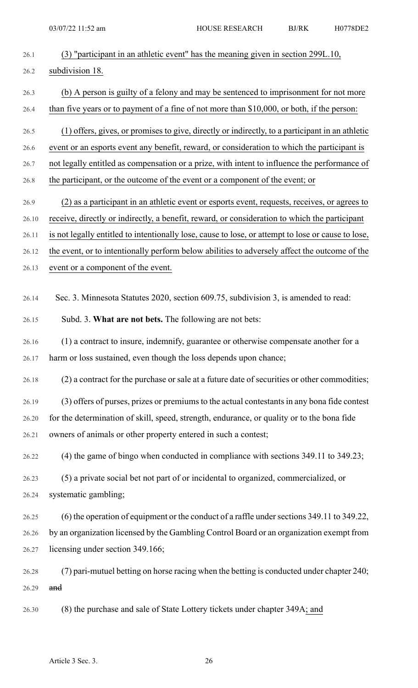| 26.1  | (3) "participant in an athletic event" has the meaning given in section 299L.10,                   |
|-------|----------------------------------------------------------------------------------------------------|
| 26.2  | subdivision 18.                                                                                    |
| 26.3  | (b) A person is guilty of a felony and may be sentenced to imprisonment for not more               |
| 26.4  | than five years or to payment of a fine of not more than \$10,000, or both, if the person:         |
| 26.5  | (1) offers, gives, or promises to give, directly or indirectly, to a participant in an athletic    |
| 26.6  | event or an esports event any benefit, reward, or consideration to which the participant is        |
| 26.7  | not legally entitled as compensation or a prize, with intent to influence the performance of       |
| 26.8  | the participant, or the outcome of the event or a component of the event; or                       |
| 26.9  | (2) as a participant in an athletic event or esports event, requests, receives, or agrees to       |
| 26.10 | receive, directly or indirectly, a benefit, reward, or consideration to which the participant      |
| 26.11 | is not legally entitled to intentionally lose, cause to lose, or attempt to lose or cause to lose, |
| 26.12 | the event, or to intentionally perform below abilities to adversely affect the outcome of the      |
| 26.13 | event or a component of the event.                                                                 |
|       |                                                                                                    |
| 26.14 | Sec. 3. Minnesota Statutes 2020, section 609.75, subdivision 3, is amended to read:                |
| 26.15 | Subd. 3. What are not bets. The following are not bets:                                            |
| 26.16 | (1) a contract to insure, indemnify, guarantee or otherwise compensate another for a               |
| 26.17 | harm or loss sustained, even though the loss depends upon chance;                                  |
| 26.18 | (2) a contract for the purchase or sale at a future date of securities or other commodities;       |
| 26.19 | (3) offers of purses, prizes or premiums to the actual contestants in any bona fide contest        |
| 26.20 | for the determination of skill, speed, strength, endurance, or quality or to the bona fide         |
| 26.21 | owners of animals or other property entered in such a contest;                                     |
| 26.22 | $(4)$ the game of bingo when conducted in compliance with sections 349.11 to 349.23;               |
| 26.23 | (5) a private social bet not part of or incidental to organized, commercialized, or                |
| 26.24 | systematic gambling;                                                                               |
| 26.25 | (6) the operation of equipment or the conduct of a raffle under sections 349.11 to 349.22,         |
| 26.26 | by an organization licensed by the Gambling Control Board or an organization exempt from           |
| 26.27 | licensing under section 349.166;                                                                   |
| 26.28 | (7) pari-mutuel betting on horse racing when the betting is conducted under chapter 240;           |
| 26.29 | and                                                                                                |
| 26.30 | (8) the purchase and sale of State Lottery tickets under chapter 349A; and                         |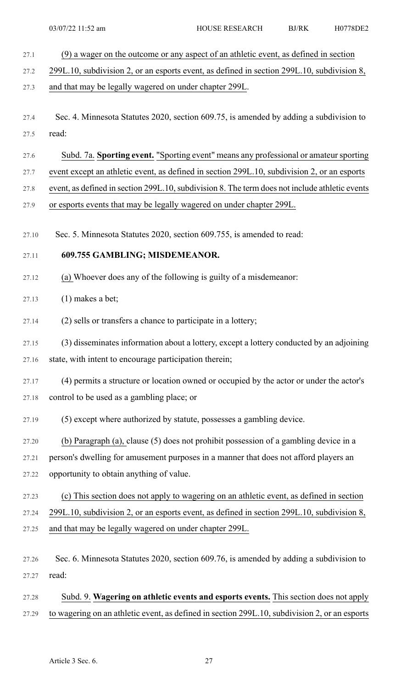27.1 (9) a wager on the outcome or any aspect of an athletic event, as defined in section 27.2 299L.10, subdivision 2, or an esports event, as defined in section 299L.10, subdivision 8, 27.3 and that may be legally wagered on under chapter 299L. 27.4 Sec. 4. Minnesota Statutes 2020, section 609.75, is amended by adding a subdivision to 27.5 read: 27.6 Subd. 7a. **Sporting event.** "Sporting event" means any professional or amateursporting 27.7 event except an athletic event, as defined in section 299L.10, subdivision 2, or an esports 27.8 event, as defined in section 299L.10, subdivision 8. The term does not include athletic events 27.9 or esports events that may be legally wagered on under chapter 299L. 27.10 Sec. 5. Minnesota Statutes 2020, section 609.755, is amended to read: 27.11 **609.755 GAMBLING; MISDEMEANOR.** 27.12 (a) Whoever does any of the following is guilty of a misdemeanor: 27.13 (1) makes a bet; 27.14 (2) sells or transfers a chance to participate in a lottery; 27.15 (3) disseminates information about a lottery, except a lottery conducted by an adjoining 27.16 state, with intent to encourage participation therein; 27.17 (4) permits a structure or location owned or occupied by the actor or under the actor's 27.18 control to be used as a gambling place; or 27.19 (5) except where authorized by statute, possesses a gambling device. 27.20 (b) Paragraph (a), clause (5) does not prohibit possession of a gambling device in a 27.21 person's dwelling for amusement purposes in a manner that does not afford players an 27.22 opportunity to obtain anything of value. 27.23 (c) This section does not apply to wagering on an athletic event, as defined in section 27.24 299L.10, subdivision 2, or an esports event, as defined in section 299L.10, subdivision 8, 27.25 and that may be legally wagered on under chapter 299L. 27.26 Sec. 6. Minnesota Statutes 2020, section 609.76, is amended by adding a subdivision to 27.27 read:

27.28 Subd. 9. **Wagering on athletic events and esports events.** This section does not apply 27.29 to wagering on an athletic event, as defined in section 299L.10, subdivision 2, or an esports